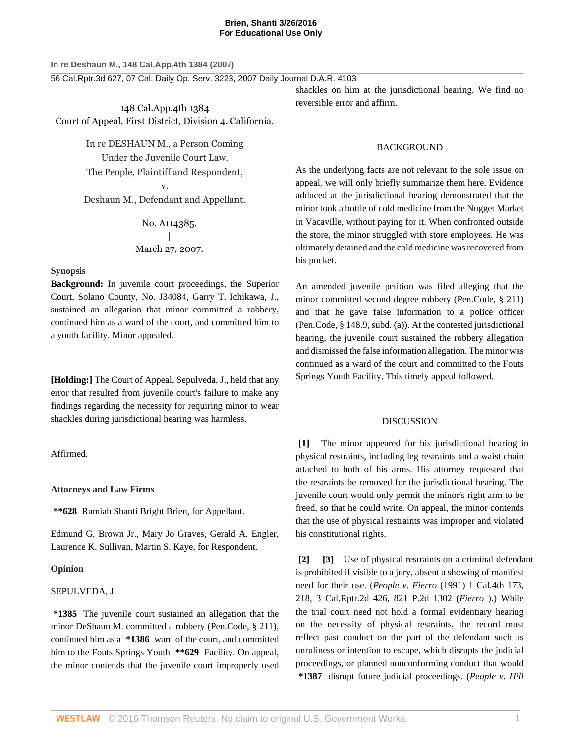#### **Brien, Shanti 3/26/2016 For Educational Use Only**

**In re Deshaun M., 148 Cal.App.4th 1384 (2007)**

56 Cal.Rptr.3d 627, 07 Cal. Daily Op. Serv. 3223, 2007 Daily Journal D.A.R. 4103

148 Cal.App.4th 1384 Court of Appeal, First District, Division 4, California.

> In re DESHAUN M., a Person Coming Under the Juvenile Court Law. The People, Plaintiff and Respondent, v.

Deshaun M., Defendant and Appellant.

# No. A114385. | March 27, 2007.

## **Synopsis**

**Background:** In juvenile court proceedings, the Superior Court, Solano County, No. J34084, [Garry T. Ichikawa,](http://www.westlaw.com/Link/Document/FullText?findType=h&pubNum=176284&cite=0281360501&originatingDoc=I7081d1bddc9711dbaba7d9d29eb57eff&refType=RQ&originationContext=document&vr=3.0&rs=cblt1.0&transitionType=DocumentItem&contextData=(sc.Search)) J., sustained an allegation that minor committed a robbery, continued him as a ward of the court, and committed him to a youth facility. Minor appealed.

**[Holding:]** The Court of Appeal, [Sepulveda,](http://www.westlaw.com/Link/Document/FullText?findType=h&pubNum=176284&cite=0252970601&originatingDoc=I7081d1bddc9711dbaba7d9d29eb57eff&refType=RQ&originationContext=document&vr=3.0&rs=cblt1.0&transitionType=DocumentItem&contextData=(sc.Search)) J., held that any error that resulted from juvenile court's failure to make any findings regarding the necessity for requiring minor to wear shackles during jurisdictional hearing was harmless.

## Affirmed.

#### **Attorneys and Law Firms**

**\*\*628** Ramiah Shanti Bright Brien, for Appellant.

Edmund G. Brown Jr., [Mary Jo Graves,](http://www.westlaw.com/Link/Document/FullText?findType=h&pubNum=176284&cite=0140821501&originatingDoc=I7081d1bddc9711dbaba7d9d29eb57eff&refType=RQ&originationContext=document&vr=3.0&rs=cblt1.0&transitionType=DocumentItem&contextData=(sc.Search)) [Gerald A. Engler](http://www.westlaw.com/Link/Document/FullText?findType=h&pubNum=176284&cite=0140718601&originatingDoc=I7081d1bddc9711dbaba7d9d29eb57eff&refType=RQ&originationContext=document&vr=3.0&rs=cblt1.0&transitionType=DocumentItem&contextData=(sc.Search)), [Laurence K. Sullivan](http://www.westlaw.com/Link/Document/FullText?findType=h&pubNum=176284&cite=0136514601&originatingDoc=I7081d1bddc9711dbaba7d9d29eb57eff&refType=RQ&originationContext=document&vr=3.0&rs=cblt1.0&transitionType=DocumentItem&contextData=(sc.Search)), [Martin S. Kaye,](http://www.westlaw.com/Link/Document/FullText?findType=h&pubNum=176284&cite=0194026001&originatingDoc=I7081d1bddc9711dbaba7d9d29eb57eff&refType=RQ&originationContext=document&vr=3.0&rs=cblt1.0&transitionType=DocumentItem&contextData=(sc.Search)) for Respondent.

#### **Opinion**

## [SEPULVEDA](http://www.westlaw.com/Link/Document/FullText?findType=h&pubNum=176284&cite=0252970601&originatingDoc=I7081d1bddc9711dbaba7d9d29eb57eff&refType=RQ&originationContext=document&vr=3.0&rs=cblt1.0&transitionType=DocumentItem&contextData=(sc.Search)), J.

**\*1385** The juvenile court sustained an allegation that the minor DeShaun M. committed a robbery [\(Pen.Code, § 211](http://www.westlaw.com/Link/Document/FullText?findType=L&pubNum=1000217&cite=CAPES211&originatingDoc=I7081d1bddc9711dbaba7d9d29eb57eff&refType=LQ&originationContext=document&vr=3.0&rs=cblt1.0&transitionType=DocumentItem&contextData=(sc.Search))), continued him as a **\*1386** ward of the court, and committed him to the Fouts Springs Youth **\*\*629** Facility. On appeal, the minor contends that the juvenile court improperly used shackles on him at the jurisdictional hearing. We find no reversible error and affirm.

## BACKGROUND

As the underlying facts are not relevant to the sole issue on appeal, we will only briefly summarize them here. Evidence adduced at the jurisdictional hearing demonstrated that the minor took a bottle of cold medicine from the Nugget Market in Vacaville, without paying for it. When confronted outside the store, the minor struggled with store employees. He was ultimately detained and the cold medicine was recovered from his pocket.

An amended juvenile petition was filed alleging that the minor committed second degree robbery ([Pen.Code, § 211\)](http://www.westlaw.com/Link/Document/FullText?findType=L&pubNum=1000217&cite=CAPES211&originatingDoc=I7081d1bddc9711dbaba7d9d29eb57eff&refType=LQ&originationContext=document&vr=3.0&rs=cblt1.0&transitionType=DocumentItem&contextData=(sc.Search)) and that he gave false information to a police officer [\(Pen.Code, § 148.9, subd. \(a\)\)](http://www.westlaw.com/Link/Document/FullText?findType=L&pubNum=1000217&cite=CAPES148.9&originatingDoc=I7081d1bddc9711dbaba7d9d29eb57eff&refType=SP&originationContext=document&vr=3.0&rs=cblt1.0&transitionType=DocumentItem&contextData=(sc.Search)#co_pp_8b3b0000958a4). At the contested jurisdictional hearing, the juvenile court sustained the robbery allegation and dismissed the false information allegation. The minor was continued as a ward of the court and committed to the Fouts Springs Youth Facility. This timely appeal followed.

#### DISCUSSION

**[1]** The minor appeared for his jurisdictional hearing in physical restraints, including leg restraints and a waist chain attached to both of his arms. His attorney requested that the restraints be removed for the jurisdictional hearing. The juvenile court would only permit the minor's right arm to be freed, so that he could write. On appeal, the minor contends that the use of physical restraints was improper and violated his constitutional rights.

**[2] [3]** Use of physical restraints on a criminal defendant is prohibited if visible to a jury, absent a showing of manifest need for their use. (*People v. Fierro* [\(1991\) 1 Cal.4th 173,](http://www.westlaw.com/Link/Document/FullText?findType=Y&serNum=1991208826&pubNum=661&originatingDoc=I7081d1bddc9711dbaba7d9d29eb57eff&refType=RP&originationContext=document&vr=3.0&rs=cblt1.0&transitionType=DocumentItem&contextData=(sc.Search)) [218, 3 Cal.Rptr.2d 426, 821 P.2d 1302](http://www.westlaw.com/Link/Document/FullText?findType=Y&serNum=1991208826&pubNum=661&originatingDoc=I7081d1bddc9711dbaba7d9d29eb57eff&refType=RP&originationContext=document&vr=3.0&rs=cblt1.0&transitionType=DocumentItem&contextData=(sc.Search)) (*[Fierro](http://www.westlaw.com/Link/Document/FullText?findType=Y&serNum=1991208826&originatingDoc=I7081d1bddc9711dbaba7d9d29eb57eff&refType=RP&originationContext=document&vr=3.0&rs=cblt1.0&transitionType=DocumentItem&contextData=(sc.Search))* ).) While the trial court need not hold a formal evidentiary hearing on the necessity of physical restraints, the record must reflect past conduct on the part of the defendant such as unruliness or intention to escape, which disrupts the judicial proceedings, or planned nonconforming conduct that would **\*1387** disrupt future judicial proceedings. (*[People v. Hill](http://www.westlaw.com/Link/Document/FullText?findType=Y&serNum=1998079338&pubNum=661&originatingDoc=I7081d1bddc9711dbaba7d9d29eb57eff&refType=RP&originationContext=document&vr=3.0&rs=cblt1.0&transitionType=DocumentItem&contextData=(sc.Search))*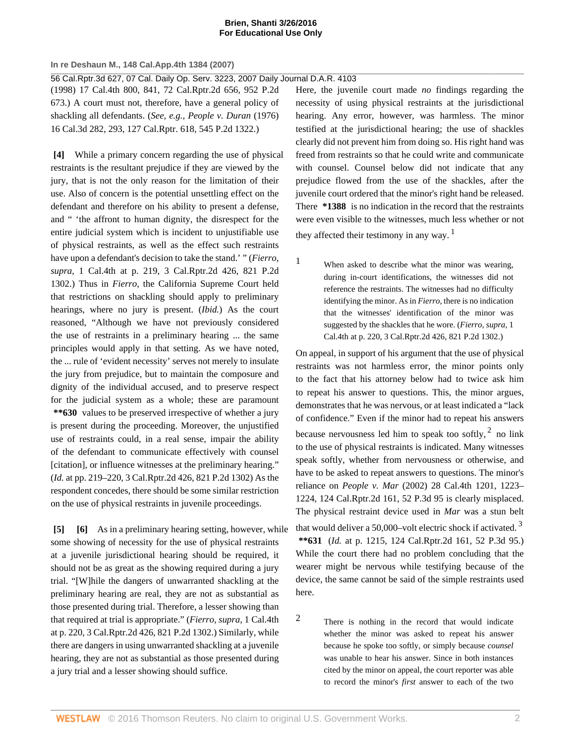#### **Brien, Shanti 3/26/2016 For Educational Use Only**

**In re Deshaun M., 148 Cal.App.4th 1384 (2007)**

56 Cal.Rptr.3d 627, 07 Cal. Daily Op. Serv. 3223, 2007 Daily Journal D.A.R. 4103

[\(1998\) 17 Cal.4th 800, 841, 72 Cal.Rptr.2d 656, 952 P.2d](http://www.westlaw.com/Link/Document/FullText?findType=Y&serNum=1998079338&pubNum=661&originatingDoc=I7081d1bddc9711dbaba7d9d29eb57eff&refType=RP&originationContext=document&vr=3.0&rs=cblt1.0&transitionType=DocumentItem&contextData=(sc.Search)) [673.\)](http://www.westlaw.com/Link/Document/FullText?findType=Y&serNum=1998079338&pubNum=661&originatingDoc=I7081d1bddc9711dbaba7d9d29eb57eff&refType=RP&originationContext=document&vr=3.0&rs=cblt1.0&transitionType=DocumentItem&contextData=(sc.Search)) A court must not, therefore, have a general policy of shackling all defendants. (*See, e.g., [People v. Duran](http://www.westlaw.com/Link/Document/FullText?findType=Y&serNum=1976112903&pubNum=661&originatingDoc=I7081d1bddc9711dbaba7d9d29eb57eff&refType=RP&originationContext=document&vr=3.0&rs=cblt1.0&transitionType=DocumentItem&contextData=(sc.Search))* (1976) [16 Cal.3d 282, 293, 127 Cal.Rptr. 618, 545 P.2d 1322.\)](http://www.westlaw.com/Link/Document/FullText?findType=Y&serNum=1976112903&pubNum=661&originatingDoc=I7081d1bddc9711dbaba7d9d29eb57eff&refType=RP&originationContext=document&vr=3.0&rs=cblt1.0&transitionType=DocumentItem&contextData=(sc.Search))

**[4]** While a primary concern regarding the use of physical restraints is the resultant prejudice if they are viewed by the jury, that is not the only reason for the limitation of their use. Also of concern is the potential unsettling effect on the defendant and therefore on his ability to present a defense, and " 'the affront to human dignity, the disrespect for the entire judicial system which is incident to unjustifiable use of physical restraints, as well as the effect such restraints have upon a defendant's decision to take the stand.' " (*[Fierro,](http://www.westlaw.com/Link/Document/FullText?findType=Y&serNum=1991208826&pubNum=661&originatingDoc=I7081d1bddc9711dbaba7d9d29eb57eff&refType=RP&originationContext=document&vr=3.0&rs=cblt1.0&transitionType=DocumentItem&contextData=(sc.Search)) supra,* [1 Cal.4th at p. 219, 3 Cal.Rptr.2d 426, 821 P.2d](http://www.westlaw.com/Link/Document/FullText?findType=Y&serNum=1991208826&pubNum=661&originatingDoc=I7081d1bddc9711dbaba7d9d29eb57eff&refType=RP&originationContext=document&vr=3.0&rs=cblt1.0&transitionType=DocumentItem&contextData=(sc.Search)) [1302.\)](http://www.westlaw.com/Link/Document/FullText?findType=Y&serNum=1991208826&pubNum=661&originatingDoc=I7081d1bddc9711dbaba7d9d29eb57eff&refType=RP&originationContext=document&vr=3.0&rs=cblt1.0&transitionType=DocumentItem&contextData=(sc.Search)) Thus in *[Fierro,](http://www.westlaw.com/Link/Document/FullText?findType=Y&serNum=1991208826&originatingDoc=I7081d1bddc9711dbaba7d9d29eb57eff&refType=RP&originationContext=document&vr=3.0&rs=cblt1.0&transitionType=DocumentItem&contextData=(sc.Search))* the California Supreme Court held that restrictions on shackling should apply to preliminary hearings, where no jury is present. (*[Ibid.](http://www.westlaw.com/Link/Document/FullText?findType=Y&serNum=1991208826&originatingDoc=I7081d1bddc9711dbaba7d9d29eb57eff&refType=RP&originationContext=document&vr=3.0&rs=cblt1.0&transitionType=DocumentItem&contextData=(sc.Search))*) As the court reasoned, "Although we have not previously considered the use of restraints in a preliminary hearing ... the same principles would apply in that setting. As we have noted, the ... rule of 'evident necessity' serves not merely to insulate the jury from prejudice, but to maintain the composure and dignity of the individual accused, and to preserve respect for the judicial system as a whole; these are paramount **\*\*630** values to be preserved irrespective of whether a jury is present during the proceeding. Moreover, the unjustified use of restraints could, in a real sense, impair the ability of the defendant to communicate effectively with counsel [citation], or influence witnesses at the preliminary hearing." (*Id.* [at pp. 219–220, 3 Cal.Rptr.2d 426, 821 P.2d 1302\)](http://www.westlaw.com/Link/Document/FullText?findType=Y&serNum=1991208826&pubNum=661&originatingDoc=I7081d1bddc9711dbaba7d9d29eb57eff&refType=RP&originationContext=document&vr=3.0&rs=cblt1.0&transitionType=DocumentItem&contextData=(sc.Search)) As the respondent concedes, there should be some similar restriction on the use of physical restraints in juvenile proceedings.

**[5] [6]** As in a preliminary hearing setting, however, while some showing of necessity for the use of physical restraints at a juvenile jurisdictional hearing should be required, it should not be as great as the showing required during a jury trial. "[W]hile the dangers of unwarranted shackling at the preliminary hearing are real, they are not as substantial as those presented during trial. Therefore, a lesser showing than that required at trial is appropriate." (*[Fierro, supra,](http://www.westlaw.com/Link/Document/FullText?findType=Y&serNum=1991208826&pubNum=661&originatingDoc=I7081d1bddc9711dbaba7d9d29eb57eff&refType=RP&originationContext=document&vr=3.0&rs=cblt1.0&transitionType=DocumentItem&contextData=(sc.Search))* 1 Cal.4th [at p. 220, 3 Cal.Rptr.2d 426, 821 P.2d 1302.\)](http://www.westlaw.com/Link/Document/FullText?findType=Y&serNum=1991208826&pubNum=661&originatingDoc=I7081d1bddc9711dbaba7d9d29eb57eff&refType=RP&originationContext=document&vr=3.0&rs=cblt1.0&transitionType=DocumentItem&contextData=(sc.Search)) Similarly, while there are dangers in using unwarranted shackling at a juvenile hearing, they are not as substantial as those presented during a jury trial and a lesser showing should suffice.

Here, the juvenile court made *no* findings regarding the necessity of using physical restraints at the jurisdictional hearing. Any error, however, was harmless. The minor testified at the jurisdictional hearing; the use of shackles clearly did not prevent him from doing so. His right hand was freed from restraints so that he could write and communicate with counsel. Counsel below did not indicate that any prejudice flowed from the use of the shackles, after the juvenile court ordered that the minor's right hand be released. There **\*1388** is no indication in the record that the restraints were even visible to the witnesses, much less whether or not they affected their testimony in any way.  $<sup>1</sup>$  $<sup>1</sup>$  $<sup>1</sup>$ </sup>

<span id="page-1-1"></span><span id="page-1-0"></span>[1](#page-1-1) When asked to describe what the minor was wearing, during in-court identifications, the witnesses did not reference the restraints. The witnesses had no difficulty identifying the minor. As in *[Fierro,](http://www.westlaw.com/Link/Document/FullText?findType=Y&serNum=1991208826&originatingDoc=I7081d1bddc9711dbaba7d9d29eb57eff&refType=RP&originationContext=document&vr=3.0&rs=cblt1.0&transitionType=DocumentItem&contextData=(sc.Search))* there is no indication that the witnesses' identification of the minor was suggested by the shackles that he wore. (*[Fierro, supra,](http://www.westlaw.com/Link/Document/FullText?findType=Y&serNum=1991208826&pubNum=661&originatingDoc=I7081d1bddc9711dbaba7d9d29eb57eff&refType=RP&originationContext=document&vr=3.0&rs=cblt1.0&transitionType=DocumentItem&contextData=(sc.Search))* 1 [Cal.4th at p. 220, 3 Cal.Rptr.2d 426, 821 P.2d 1302.\)](http://www.westlaw.com/Link/Document/FullText?findType=Y&serNum=1991208826&pubNum=661&originatingDoc=I7081d1bddc9711dbaba7d9d29eb57eff&refType=RP&originationContext=document&vr=3.0&rs=cblt1.0&transitionType=DocumentItem&contextData=(sc.Search))

<span id="page-1-3"></span>On appeal, in support of his argument that the use of physical restraints was not harmless error, the minor points only to the fact that his attorney below had to twice ask him to repeat his answer to questions. This, the minor argues, demonstrates that he was nervous, or at least indicated a "lack of confidence." Even if the minor had to repeat his answers because nervousness led him to speak too softly,  $2$  no link to the use of physical restraints is indicated. Many witnesses speak softly, whether from nervousness or otherwise, and have to be asked to repeat answers to questions. The minor's reliance on *People v. Mar* [\(2002\) 28 Cal.4th 1201, 1223–](http://www.westlaw.com/Link/Document/FullText?findType=Y&serNum=2002534592&pubNum=4645&originatingDoc=I7081d1bddc9711dbaba7d9d29eb57eff&refType=RP&originationContext=document&vr=3.0&rs=cblt1.0&transitionType=DocumentItem&contextData=(sc.Search)) [1224, 124 Cal.Rptr.2d 161, 52 P.3d 95](http://www.westlaw.com/Link/Document/FullText?findType=Y&serNum=2002534592&pubNum=4645&originatingDoc=I7081d1bddc9711dbaba7d9d29eb57eff&refType=RP&originationContext=document&vr=3.0&rs=cblt1.0&transitionType=DocumentItem&contextData=(sc.Search)) is clearly misplaced. The physical restraint device used in *[Mar](http://www.westlaw.com/Link/Document/FullText?findType=Y&serNum=2002534592&originatingDoc=I7081d1bddc9711dbaba7d9d29eb57eff&refType=RP&originationContext=document&vr=3.0&rs=cblt1.0&transitionType=DocumentItem&contextData=(sc.Search))* was a stun belt that would deliver a 50,000-volt electric shock if activated.<sup>[3](#page-2-0)</sup>

<span id="page-1-4"></span>**\*\*631** (*Id.* [at p. 1215, 124 Cal.Rptr.2d 161, 52 P.3d 95.\)](http://www.westlaw.com/Link/Document/FullText?findType=Y&serNum=2002534592&pubNum=4645&originatingDoc=I7081d1bddc9711dbaba7d9d29eb57eff&refType=RP&originationContext=document&vr=3.0&rs=cblt1.0&transitionType=DocumentItem&contextData=(sc.Search)) While the court there had no problem concluding that the wearer might be nervous while testifying because of the device, the same cannot be said of the simple restraints used here.

<span id="page-1-2"></span>[2](#page-1-3) There is nothing in the record that would indicate whether the minor was asked to repeat his answer because he spoke too softly, or simply because *counsel* was unable to hear his answer. Since in both instances cited by the minor on appeal, the court reporter was able to record the minor's *first* answer to each of the two